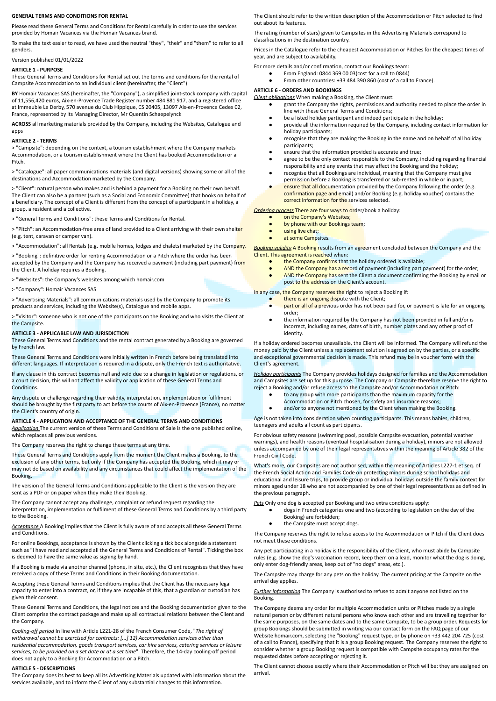# **GENERAL TERMS AND CONDITIONS FOR RENTAL**

Please read these General Terms and Conditions for Rental carefully in order to use the services provided by Homair Vacances via the Homair Vacances brand.

To make the text easier to read, we have used the neutral "they", "their" and "them" to refer to all genders.

### Version published 01/01/2022

#### **ARTICLE 1 - PURPOSE**

These General Terms and Conditions for Rental set out the terms and conditions for the rental of Campsite Accommodation to an individual client (hereinafter, the "Client")

**BY** Homair Vacances SAS (hereinafter, the "Company"), a simplified joint-stock company with capital of 11,556,420 euros, Aix-en-Provence Trade Register number 484 881 917, and a registered office at Immeuble Le Derby, 570 avenue du Club Hippique, CS 20405, 13097 Aix-en-Provence Cedex 02, France, represented by its Managing Director, Mr Quentin Schaepelynck

**ACROSS** all marketing materials provided by the Company, including the Websites, Catalogue and apps

#### **ARTICLE 2 - TERMS**

> "Campsite": depending on the context, a tourism establishment where the Company markets Accommodation, or a tourism establishment where the Client has booked Accommodation or a Pitch.

> "Catalogue": all paper communications materials (and digital versions) showing some or all of the destinations and Accommodation marketed by the Company.

> "Client": natural person who makes and is behind a payment for a Booking on their own behalf. The Client can also be a partner (such as a Social and Economic Committee) that books on behalf of a beneficiary. The concept of a Client is different from the concept of a participant in a holiday, a group, a resident and a collective.

'General Terms and Conditions": these Terms and Conditions for Rental.

> "Pitch": an Accommodation-free area of land provided to a Client arriving with their own shelter (e.g. tent, caravan or camper van).

> "Accommodation": all Rentals (e.g. mobile homes, lodges and chalets) marketed by the Company.

> "Booking": definitive order for renting Accommodation or a Pitch where the order has been

accepted by the Company and the Company has received a payment (including part payment) from the Client. A holiday requires a Booking.

> "Websites": the Company's websites among which homair.com

> "Company": Homair Vacances SAS

> "Advertising Materials": all communications materials used by the Company to promote its products and services, including the Website(s), Catalogue and mobile apps.

> "Visitor": someone who is not one of the participants on the Booking and who visits the Client at the Campsite.

#### **ARTICLE 3 - APPLICABLE LAW AND JURISDICTION**

These General Terms and Conditions and the rental contract generated by a Booking are governed by French law.

These General Terms and Conditions were initially written in French before being translated into different languages. If interpretation is required in a dispute, only the French text is authoritative.

If any clause in this contract becomes null and void due to a change in legislation or regulations, or a court decision, this will not affect the validity or application of these General Terms and **Conditions** 

Any dispute or challenge regarding their validity, interpretation, implementation or fulfilment should be brought by the first party to act before the courts of Aix-en-Provence (France), no matter the Client's country of origin.

#### **ARTICLE 4 - APPLICATION AND ACCEPTANCE OF THE GENERAL TERMS AND CONDITIONS**

*Application* The current version of these Terms and Conditions of Sale is the one published online, which replaces all previous versions.

The Company reserves the right to change these terms at any time.

These General Terms and Conditions apply from the moment the Client makes a Booking, to the exclusion of any other terms, but only if the Company has accepted the Booking, which it may or may not do based on availability and any circumstances that could affect the implementation of the Booking.

The version of the General Terms and Conditions applicable to the Client is the version they are sent as a PDF or on paper when they make their Booking.

The Company cannot accept any challenge, complaint or refund request regarding the interpretation, implementation or fulfilment of these General Terms and Conditions by a third party to the Booking.

*Acceptance* A Booking implies that the Client is fully aware of and accepts all these General Terms and Conditions.

For online Bookings, acceptance is shown by the Client clicking a tick box alongside a statement such as "I have read and accepted all the General Terms and Conditions of Rental". Ticking the box is deemed to have the same value as signing by hand.

If a Booking is made via another channel (phone, in situ, etc.), the Client recognises that they have received a copy of these Terms and Conditions in their Booking documentation.

Accepting these General Terms and Conditions implies that the Client has the necessary legal capacity to enter into a contract, or, if they are incapable of this, that a guardian or custodian has given their consent.

These General Terms and Conditions, the legal notices and the Booking documentation given to the Client comprise the contract package and make up all contractual relations between the Client and the Company.

*Cooling-off period* In line with Article L221-28 of the French Consumer Code, "*The right of withdrawal cannot be exercised for contracts: [...] 12) Accommodation services other than residential accommodation, goods transport services, car hire services, catering services or leisure services, to be provided on a set date or at a set time*". Therefore, the 14-day cooling-off period does not apply to a Booking for Accommodation or a Pitch.

### **ARTICLE 5 - DESCRIPTIONS**

The Company does its best to keep all its Advertising Materials updated with information about the services available, and to inform the Client of any substantial changes to this information.

The Client should refer to the written description of the Accommodation or Pitch selected to find out about its features.

The rating (number of stars) given to Campsites in the Advertising Materials correspond to classifications in the destination country.

Prices in the Catalogue refer to the cheapest Accommodation or Pitches for the cheapest times of year, and are subject to availability.

- For more details and/or confirmation, contact our Bookings team:
	- From England: 0844 369 00 03(cost for a call to 0844)
		- From other countries: +33 484 390 860 (cost of a call to France).

# **ARTICLE 6 - ORDERS AND BOOKINGS**

*Client obligations* When making a Booking, the Client must:

- grant the Company the rights, permissions and authority needed to place the order in line with these General Terms and Conditions;
- be a listed holiday participant and indeed participate in the holiday;
- provide all the information required by the Company, including contact information for holiday participants;
- recognise that they are making the Booking in the name and on behalf of all holiday participants;
- ensure that the information provided is accurate and true;
- agree to be the only contact responsible to the Company, including regarding financial responsibility and any events that may affect the Booking and the holiday;
- recognise that all Bookings are individual, meaning that the Company must give permission before a Booking is transferred or sub-rented in whole or in part;
- ensure that all documentation provided by the Company following the order (e.g. confirmation page and email) and/or Booking (e.g. holiday voucher) contains the correct information for the services selected.

*Ordering process* There are four ways to order/book a holiday:

- on the Company's Websites;
- by phone with our Bookings team;
- using live chat;
- at some Campsites.

*Booking validity* A Booking results from an agreement concluded between the Company and the Client. This agreement is reached when:

- the Company confirms that the holiday ordered is available;
- AND the Company has a record of payment (including part payment) for the order; AND the Company has sent the Client a document confirming the Booking by email or post to the address on the Client's account.

In any case, the Company reserves the right to reject a Booking if:

- 
- there is an ongoing dispute with the Client;<br>• part or all of a previous order has not been part or all of a previous order has not been paid for, or payment is late for an ongoing order;
- the information required by the Company has not been provided in full and/or is incorrect, including names, dates of birth, number plates and any other proof of identity.

If a holiday ordered becomes unavailable, the Client will be informed. The Company will refund the money paid by the Client unless a replacement solution is agreed on by the parties, or a specific and exceptional governmental decision is made. This refund may be in voucher form with the Client's agreement.

*Holiday participants* The Company provides holidays designed for families and the Accommodation and Campsites are set up for this purpose. The Company or Campsite therefore reserve the right to reject a Booking and/or refuse access to the Campsite and/or Accommodation or Pitch:

- to any group with more participants than the maximum capacity for the
- Accommodation or Pitch chosen, for safety and insurance reasons;

• and/or to anyone not mentioned by the Client when making the Booking.

Age is not taken into consideration when counting participants. This means babies, children, teenagers and adults all count as participants.

For obvious safety reasons (swimming pool, possible Campsite evacuation, potential weather warnings), and health reasons (eventual hospitalisation during a holiday), minors are not allowed unless accompanied by one of their legal representatives within the meaning of Article 382 of the French Civil Code.

What's more, our Campsites are not authorised, within the meaning of Articles L227-1 et seq. of the French Social Action and Families Code on protecting minors during school holidays and educational and leisure trips, to provide group or individual holidays outside the family context for minors aged under 18 who are not accompanied by one of their legal representatives as defined in the previous paragraph.

*Pets* Only one dog is accepted per Booking and two extra conditions apply:

- dogs in French categories one and two (according to legislation on the day of the
- Booking) are forbidden; the Campsite must accept dogs.

The Company reserves the right to refuse access to the Accommodation or Pitch if the Client does not meet these conditions.

Any pet participating in a holiday is the responsibility of the Client, who must abide by Campsite rules (e.g. show the dog's vaccination record, keep them on a lead, monitor what the dog is doing, only enter dog-friendly areas, keep out of "no dogs" areas, etc.).

The Campsite may charge for any pets on the holiday. The current pricing at the Campsite on the arrival day applies.

*Further information* The Company is authorised to refuse to admit anyone not listed on the **Booking** 

The Company deems any order for multiple Accommodation units or Pitches made by a single natural person or by different natural persons who know each other and are travelling together for the same purposes, on the same dates and to the same Campsite, to be a group order. Requests for group Bookings should be submitted in writing via our contact form on the FAQ page of our Website homair.com, selecting the "Booking" request type, or by phone on +33 442 204 725 (cost of a call to France), specifying that it is a group Booking request. The Company reserves the right to consider whether a group Booking request is compatible with Campsite occupancy rates for the requested dates before accepting or rejecting it.

The Client cannot choose exactly where their Accommodation or Pitch will be: they are assigned on arrival.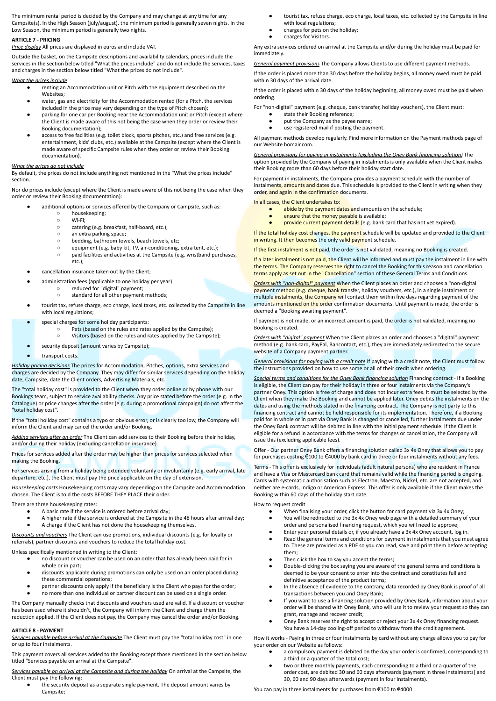The minimum rental period is decided by the Company and may change at any time for any Campsite(s). In the High Season (july/august), the minimum period is generally seven nights. In the Low Season, the minimum period is generally two nights.

## **ARTICLE 7 - PRICING**

*Price display* All prices are displayed in euros and include VAT.

Outside the basket, on the Campsite descriptions and availability calendars, prices include the services in the section below titled "What the prices include" and do not include the services, taxes and charges in the section below titled "What the prices do not include".

#### *What the prices include*

- renting an Accommodation unit or Pitch with the equipment described on the Websites;
- water, gas and electricity for the Accommodation rented (for a Pitch, the services
- included in the price may vary depending on the type of Pitch chosen); parking for one car per Booking near the Accommodation unit or Pitch (except where the Client is made aware of this not being the case when they order or review their Booking documentation);
- access to free facilities (e.g. toilet block, sports pitches, etc.) and free services (e.g. entertainment, kids' clubs, etc.) available at the Campsite (except where the Client is made aware of specific Campsite rules when they order or review their Booking documentation).

#### *What the prices do not include*

By default, the prices do not include anything not mentioned in the "What the prices include" section.

Nor do prices include (except where the Client is made aware of this not being the case when they order or review their Booking documentation):

additional options or services offered by the Company or Campsite, such as:

- housekeeping;
- Wi-Fi;
- catering (e.g. breakfast, half-board, etc.);
- an extra parking space;<br>○ bedding, bathroom tow
- bedding, bathroom towels, beach towels, etc;<br>○ equipment (e.g. baby kit. TV. air-conditioning.
- equipment (e.g. baby kit, TV, air-conditioning, extra tent, etc.);<br>○ paid facilities and activities at the Campsite (e.g. wristband pur paid facilities and activities at the Campsite (e.g. wristband purchases, etc.);
- cancellation insurance taken out by the Client:
- administration fees (applicable to one holiday per year)
	- reduced for "digital" payment;
		- standard for all other payment methods;
- tourist tax, refuse charge, eco charge, local taxes, etc. collected by the Campsite in line with local regulations
- special charges for some holiday participants:
	- Pets (based on the rules and rates applied by the Campsite);
		- Visitors (based on the rules and rates applied by the Campsite);
	- security deposit (amount varies by Campsite);
- transport costs.

*Holiday pricing decisions* The prices for Accommodation, Pitches, options, extra services and charges are decided by the Company. They may differ for similar services depending on the holiday date, Campsite, date the Client orders, Advertising Materials, etc.

The "total holiday cost" is provided to the Client when they order online or by phone with our Bookings team, subject to service availability checks. Any price stated before the order (e.g. in the Catalogue) or price changes after the order (e.g. during a promotional campaign) do not affect the "total holiday cost".

If the "total holiday cost" contains a typo or obvious error, or is clearly too low, the Company will inform the Client and may cancel the order and/or Booking.

*Adding services after an order* The Client can add services to their Booking before their holiday, and/or during their holiday (excluding cancellation insurance).

Prices for services added after the order may be higher than prices for services selected when making the Booking.

For services arising from a holiday being extended voluntarily or involuntarily (e.g. early arrival, late departure, etc.), the Client must pay the price applicable on the day of extension.

*Housekeeping costs* Housekeeping costs may vary depending on the Campsite and Accommodation chosen. The Client is told the costs BEFORE THEY PLACE their order.

There are three housekeeping rates:

- A basic rate if the service is ordered before arrival day;
- A higher rate if the service is ordered at the Campsite in the 48 hours after arrival day; A charge if the Client has not done the housekeeping themselves.

*Discounts and vouchers* The Client can use promotions, individual discounts (e.g. for loyalty or referrals), partner discounts and vouchers to reduce the total holiday cost.

Unless specifically mentioned in writing to the Client:

- no discount or voucher can be used on an order that has already been paid for in whole or in part;
- discounts applicable during promotions can only be used on an order placed during these commercial operations;
- partner discounts only apply if the beneficiary is the Client who pays for the order;
- no more than one individual or partner discount can be used on a single order

The Company manually checks that discounts and vouchers used are valid. If a discount or voucher has been used where it shouldn't, the Company will inform the Client and charge them the reduction applied. If the Client does not pay, the Company may cancel the order and/or Booking.

### **ARTICLE 8 - PAYMENT**

*Services payable before arrival at the Campsite* The Client must pay the "total holiday cost" in one or up to four instalments.

This payment covers all services added to the Booking except those mentioned in the section below titled "Services payable on arrival at the Campsite".

*Services payable on arrival at the Campsite and during the holiday* On arrival at the Campsite, the Client must pay the following:

the security deposit as a separate single payment. The deposit amount varies by Campsite;

- tourist tax, refuse charge, eco charge, local taxes, etc. collected by the Campsite in line with local regulations;
- charges for pets on the holiday;
- charges for Visitors

Any extra services ordered on arrival at the Campsite and/or during the holiday must be paid for immediately.

*General payment provisions* The Company allows Clients to use different payment methods.

If the order is placed more than 30 days before the holiday begins, all money owed must be paid within 30 days of the arrival date.

If the order is placed within 30 days of the holiday beginning, all money owed must be paid when ordering.

For "non-digital" payment (e.g. cheque, bank transfer, holiday vouchers), the Client must:

- state their Booking reference;
- put the Company as the payee name;
- use registered mail if posting the payment.

All payment methods develop regularly. Find more information on the Payment methods page of our Website homair.com.

*General provisions for paying in instalments (excluding the Oney Bank financing solution)* The option provided by the Company of paying in instalments is only available when the Client makes their Booking more than 60 days before their holiday start date.

For payment in instalments, the Company provides a payment schedule with the number of instalments, amounts and dates due. This schedule is provided to the Client in writing when they order, and again in the confirmation documents.

In all cases, the Client undertakes to:

- abide by the payment dates and amounts on the schedule;
- ensure that the money payable is available;
- provide current payment details (e.g. bank card that has not yet expired).

If the total holiday cost changes, the payment schedule will be updated and provided to the Client in writing. It then becomes the only valid payment schedule.

If the first instalment is not paid, the order is not validated, meaning no Booking is created.

If a later instalment is not paid, the Client will be informed and must pay the instalment in line with the terms. The Company reserves the right to cancel the Booking for this reason and cancellation terms apply as set out in the "Cancellation" section of these General Terms and Conditions.

*Orders with "non-digital" payment* When the Client places an order and chooses a "non-digital" payment method (e.g. cheque, bank transfer, holiday vouchers, etc.), in a single instalment or multiple instalments, the Company will contact them within five days regarding payment of the amounts mentioned on the order confirmation documents. Until payment is made, the order is deemed a "Booking awaiting payment".

If payment is not made, or an incorrect amount is paid, the order is not validated, meaning no Booking is created.

*Orders with "digital" payment* When the Client places an order and chooses a "digital" payment method (e.g. bank card, PayPal, Bancontact, etc.), they are immediately redirected to the secure website of a Company payment partner.

*General provisions for paying with a credit note* If paying with a credit note, the Client must follow the instructions provided on how to use some or all of their credit when ordering.

*Special terms and conditions for the Oney Bank financing solution* Financing contract - If a Booking is eligible, the Client can pay for their holiday in three or four instalments via the Company's partner Oney. This option is free of charge and does not incur extra fees. It must be selected by the Client when they make the Booking and cannot be applied later. Oney debits the instalments on the dates and using the methods stated in the financing contract. The Company is not party to this financing contract and cannot be held responsible for its implementation. Therefore, if a Booking paid for in whole or in part via Oney Bank is changed or cancelled, further instalments due under the Oney Bank contract will be debited in line with the initial payment schedule. If the Client is eligible for a refund in accordance with the terms for changes or cancellation, the Company will issue this (excluding applicable fees).

Offer - Our partner Oney Bank offers a financing solution called 3x 4x Oney that allows you to pay for purchases costing €100 to €4000 by bank card in three or four instalments without any fees.

Terms - This offer is exclusively for individuals (adult natural persons) who are resident in France and have a Visa or Mastercard bank card that remains valid while the financing period is ongoing. Cards with systematic authorisation such as Electron, Maestro, Nickel, etc. are not accepted, and neither are e-cards, Indigo or American Express. This offer is only available if the Client makes the Booking within 60 days of the holiday start date.

How to request credit

- When finalising your order, click the button for card payment via 3x 4x Oney;
- You will be redirected to the 3x 4x Oney web page with a detailed summary of your order and personalised financing request, which you will need to approve;
- Enter your personal details or, if you already have a 3x 4x Oney account, log in.
- Read the general terms and conditions for payment in instalments that you must agree to. These are provided as a PDF so you can read, save and print them before accepting them;
- Then click the box to say you accept the terms;
- Double-clicking the box saying you are aware of the general terms and conditions is deemed to be your consent to enter into the contract and constitutes full and definitive acceptance of the product terms;
- In the absence of evidence to the contrary, data recorded by Oney Bank is proof of all transactions between you and Oney Bank;
- If you want to use a financing solution provided by Oney Bank, information about your order will be shared with Oney Bank, who will use it to review your request so they can grant, manage and recover credit;
- Oney Bank reserves the right to accept or reject your 3x 4x Oney financing request. You have a 14-day cooling-off period to withdraw from the credit agreement.

How it works - Paying in three or four instalments by card without any charge allows you to pay for your order on our Website as follows:

- a compulsory payment is debited on the day your order is confirmed, corresponding to a third or a quarter of the total cost:
- two or three monthly payments, each corresponding to a third or a quarter of the
- order cost, are debited 30 and 60 days afterwards (payment in three instalments) and 30, 60 and 90 days afterwards (payment in four instalments).

You can pay in three instalments for purchases from €100 to €4000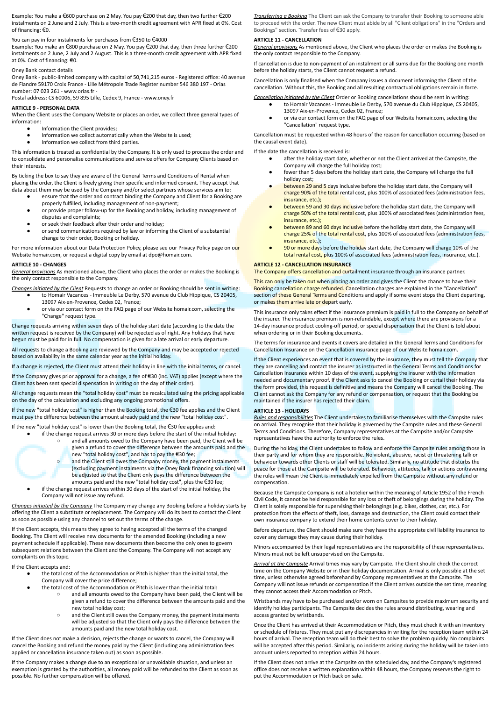Example: You make a €600 purchase on 2 May. You pay €200 that day, then two further €200 instalments on 2 June and 2 July. This is a two-month credit agreement with APR fixed at 0%. Cost of financing: €0.

# You can pay in four instalments for purchases from €350 to €4000

Example: You make an €800 purchase on 2 May. You pay €200 that day, then three further €200 instalments on 2 June, 2 July and 2 August. This is a three-month credit agreement with APR fixed at 0%. Cost of financing: €0.

### Oney Bank contact details

Oney Bank - public-limited company with capital of 50,741,215 euros - Registered office: 40 avenue de Flandre 59170 Croix France - Lille Métropole Trade Register number 546 380 197 - Orias number: 07 023 261 - www.orias.fr -

Postal address: CS 60006, 59 895 Lille, Cedex 9, France - www.oney.fr

## **ARTICLE 9 - PERSONAL DATA**

When the Client uses the Company Website or places an order, we collect three general types of information:

- Information the Client provides;
- Information we collect automatically when the Website is used;
- Information we collect from third parties.

This information is treated as confidential by the Company. It is only used to process the order and to consolidate and personalise communications and service offers for Company Clients based on their interests.

By ticking the box to say they are aware of the General Terms and Conditions of Rental when placing the order, the Client is freely giving their specific and informed consent. They accept that data about them may be used by the Company and/or select partners whose services aim to:

- ensure that the order and contract binding the Company and Client for a Booking are properly fulfilled, including management of non-payment;
- or provide proper follow-up for the Booking and holiday, including management of disputes and complaints;
- or seek their feedback after their order and holiday;
- or send communications required by law or informing the Client of a substantial change to their order, Booking or holiday.

For more information about our Data Protection Policy, please see our Privacy Policy page on our Website homair.com, or request a digital copy by email at dpo@homair.com.

### **ARTICLE 10 - CHANGES**

*General provisions* As mentioned above, the Client who places the order or makes the Booking is the only contact responsible to the Company.

- *Changes initiated by the Client* Requests to change an order or Booking should be sent in writing: to Homair Vacances - Immeuble Le Derby, 570 avenue du Club Hippique, CS 20405, 13097 Aix-en-Provence, Cedex 02, France;
	- or via our contact form on the FAQ page of our Website homair.com, selecting the "Change" request type.

Change requests arriving within seven days of the holiday start date (according to the date the written request is received by the Company) will be rejected as of right. Any holidays that have begun must be paid for in full. No compensation is given for a late arrival or early departure.

All requests to change a Booking are reviewed by the Company and may be accepted or rejected based on availability in the same calendar year as the initial holiday.

If a change is rejected, the Client must attend their holiday in line with the initial terms, or cancel.

If the Company gives prior approval for a change, a fee of €30 (inc. VAT) applies (except where the Client has been sent special dispensation in writing on the day of their order).

All change requests mean the "total holiday cost" must be recalculated using the pricing applicable on the day of the calculation and excluding any ongoing promotional offers.

If the new "total holiday cost" is higher than the Booking total, the €30 fee applies and the Client must pay the difference between the amount already paid and the new "total holiday cost".

If the new "total holiday cost" is lower than the Booking total, the €30 fee applies and:

- if the change request arrives 30 or more days before the start of the initial holiday: ○ and all amounts owed to the Company have been paid, the Client will be
	- given a refund to cover the difference between the amounts paid and the new "total holiday cost", and has to pay the €30 fee;

○ and the Client still owes the Company money, the payment instalments (excluding payment instalments via the Oney Bank financing solution) will be adjusted so that the Client only pays the difference between the amounts paid and the new "total holiday cost", plus the €30 fee;

if the change request arrives within 30 days of the start of the initial holiday, the Company will not issue any refund.

*Changes initiated by the Company* The Company may change any Booking before a holiday starts by offering the Client a substitute or replacement. The Company will do its best to contact the Client as soon as possible using any channel to set out the terms of the change.

If the Client accepts, this means they agree to having accepted all the terms of the changed Booking. The Client will receive new documents for the amended Booking (including a new payment schedule if applicable). These new documents then become the only ones to govern subsequent relations between the Client and the Company. The Company will not accept any complaints on this topic.

If the Client accepts and:

- the total cost of the Accommodation or Pitch is higher than the initial total, the Company will cover the price difference;
	- the total cost of the Accommodation or Pitch is lower than the initial total:
		- and all amounts owed to the Company have been paid, the Client will be given a refund to cover the difference between the amounts paid and the new total holiday cost;
		- and the Client still owes the Company money, the payment instalments will be adjusted so that the Client only pays the difference between the amounts paid and the new total holiday cost.

If the Client does not make a decision, rejects the change or wants to cancel, the Company will cancel the Booking and refund the money paid by the Client (including any administration fees applied or cancellation insurance taken out) as soon as possible.

If the Company makes a change due to an exceptional or unavoidable situation, and unless an exemption is granted by the authorities, all money paid will be refunded to the Client as soon as possible. No further compensation will be offered.

*Transferring a Booking* The Client can ask the Company to transfer their Booking to someone able to proceed with the order. The new Client must abide by all "Client obligations" in the "Orders and Bookings" section. Transfer fees of €30 apply.

### **ARTICLE 11 - CANCELLATION**

*General provisions* As mentioned above, the Client who places the order or makes the Booking is the only contact responsible to the Company.

If cancellation is due to non-payment of an instalment or all sums due for the Booking one month before the holiday starts, the Client cannot request a refund.

Cancellation is only finalised when the Company issues a document informing the Client of the cancellation. Without this, the Booking and all resulting contractual obligations remain in force.

*Cancellation initiated by the Client* Order or Booking cancellations should be sent in writing:

- to Homair Vacances Immeuble Le Derby, 570 avenue du Club Hippique, CS 20405, 13097 Aix-en-Provence, Cedex 02, France;
- or via our contact form on the FAQ page of our Website homair.com, selecting the "Cancellation" request type.

Cancellation must be requested within 48 hours of the reason for cancellation occurring (based on the causal event date).

If the date the cancellation is received is:

- after the holiday start date, whether or not the Client arrived at the Campsite, the Company will charge the full holiday cost;
- fewer than 5 days before the holiday start date, the Company will charge the full holiday cost;
- between 29 and 5 days inclusive before the holiday start date, the Company will charge 90% of the total rental cost, plus 100% of associated fees (administration fees, insurance, etc.);
- between 59 and 30 days inclusive before the holiday start date, the Company will charge 50% of the total rental cost, plus 100% of associated fees (administration fees, insurance, etc.);
- between 89 and 60 days inclusive before the holiday start date, the Company will charge 25% of the total rental cost, plus 100% of associated fees (administration fees, insurance, etc.);
- 90 or more days before the holiday start date, the Company will charge 10% of the total rental cost, plus 100% of associated fees (administration fees, insurance, etc.).

# **ARTICLE 12 - CANCELLATION INSURANCE**

The Company offers cancellation and curtailment insurance through an insurance partner.

This can only be taken out when placing an order and gives the Client the chance to have their Booking cancellation charge refunded. Cancellation charges are explained in the "Cancellation" section of these General Terms and Conditions and apply if some event stops the Client departing, or makes them arrive late or depart early.

This insurance only takes effect if the insurance premium is paid in full to the Company on behalf of the insurer. The insurance premium is non-refundable, except where there are provisions for a 14-day insurance product cooling-off period, or special dispensation that the Client is told about when ordering or in their Booking documents.

The terms for insurance and events it covers are detailed in the General Terms and Conditions for Cancellation Insurance on the Cancellation insurance page of our Website homair.com.

If the Client experiences an event that is covered by the insurance, they must tell the Company that they are cancelling and contact the insurer as instructed in the General Terms and Conditions for Cancellation Insurance within 10 days of the event, supplying the insurer with the information needed and documentary proof. If the Client asks to cancel the Booking or curtail their holiday via the form provided, this request is definitive and means the Company will cancel the Booking. The Client cannot ask the Company for any refund or compensation, or request that the Booking be maintained if the insurer has rejected their claim.

### **ARTICLE 13 - HOLIDAYS**

*Rules and responsibilities* The Client undertakes to familiarise themselves with the Campsite rules on arrival. They recognise that their holiday is governed by the Campsite rules and these General Terms and Conditions. Therefore, Company representatives at the Campsite and/or Campsite representatives have the authority to enforce the rules.

During the holiday, the Client undertakes to follow and enforce the Campsite rules among those in their party and for whom they are responsible. No violent, abusive, racist or threatening talk or behaviour towards other Clients or staff will be tolerated. Similarly, no attitude that disturbs the peace for those at the Campsite will be tolerated. Behaviour, attitudes, talk or actions contravening the rules will mean the Client is immediately expelled from the Campsite without any refund or compensation.

Because the Campsite Company is not a hotelier within the meaning of Article 1952 of the French Civil Code, it cannot be held responsible for any loss or theft of belongings during the holiday. The Client is solely responsible for supervising their belongings (e.g. bikes, clothes, car, etc.). For protection from the effects of theft, loss, damage and destruction, the Client could contact their own insurance company to extend their home contents cover to their holiday.

Before departure, the Client should make sure they have the appropriate civil liability insurance to cover any damage they may cause during their holiday.

Minors accompanied by their legal representatives are the responsibility of these representatives. Minors must not be left unsupervised on the Campsite.

*Arrival at the Campsite* Arrival times may vary by Campsite. The Client should check the correct time on the Company Website or in their holiday documentation. Arrival is only possible at the set time, unless otherwise agreed beforehand by Company representatives at the Campsite. The Company will not issue refunds or compensation if the Client arrives outside the set time, meaning they cannot access their Accommodation or Pitch.

Wristbands may have to be purchased and/or worn on Campsites to provide maximum security and identify holiday participants. The Campsite decides the rules around distributing, wearing and access granted by wristbands.

Once the Client has arrived at their Accommodation or Pitch, they must check it with an inventory or schedule of fixtures. They must put any discrepancies in writing for the reception team within 24 hours of arrival. The reception team will do their best to solve the problem quickly. No complaints will be accepted after this period. Similarly, no incidents arising during the holiday will be taken into account unless reported to reception within 24 hours.

If the Client does not arrive at the Campsite on the scheduled day, and the Company's registered office does not receive a written explanation within 48 hours, the Company reserves the right to put the Accommodation or Pitch back on sale.